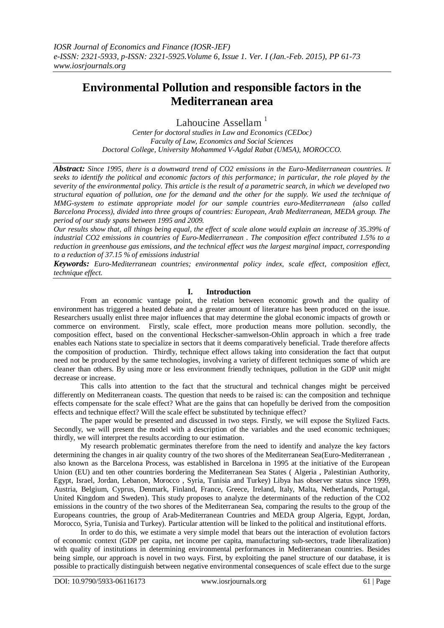# **Environmental Pollution and responsible factors in the Mediterranean area**

Lahoucine Assellam $<sup>1</sup>$ </sup>

*Center for doctoral studies in Law and Economics (CEDoc) Faculty of Law, Economics and Social Sciences Doctoral College, University Mohammed V-Agdal Rabat (UM5A), MOROCCO.*

*Abstract: Since 1995, there is a downward trend of CO2 emissions in the Euro-Mediterranean countries. It seeks to identify the political and economic factors of this performance; in particular, the role played by the severity of the environmental policy. This article is the result of a parametric search, in which we developed two structural equation of pollution, one for the demand and the other for the supply. We used the technique of MMG-system to estimate appropriate model for our sample countries euro-Mediterranean (also called Barcelona Process), divided into three groups of countries: European, Arab Mediterranean, MEDA group. The period of our study spans between 1995 and 2009.*

*Our results show that, all things being equal, the effect of scale alone would explain an increase of 35.39% of industrial CO2 emissions in countries of Euro-Mediterranean . The composition effect contributed 1.5% to a reduction in greenhouse gas emissions, and the technical effect was the largest marginal impact, corresponding to a reduction of 37.15 % of emissions industrial* 

*Keywords: Euro-Mediterranean countries; environmental policy index, scale effect, composition effect, technique effect.* 

## **I. Introduction**

From an economic vantage point, the relation between economic growth and the quality of environment has triggered a heated debate and a greater amount of literature has been produced on the issue. Researchers usually enlist three major influences that may determine the global economic impacts of growth or commerce on environment. Firstly, scale effect, more production means more pollution. secondly, the composition effect, based on the conventional Heckscher-samwelson-Ohlin approach in which a free trade enables each Nations state to specialize in sectors that it deems comparatively beneficial. Trade therefore affects the composition of production. Thirdly, technique effect allows taking into consideration the fact that output need not be produced by the same technologies, involving a variety of different techniques some of which are cleaner than others. By using more or less environment friendly techniques, pollution in the GDP unit might decrease or increase.

This calls into attention to the fact that the structural and technical changes might be perceived differently on Mediterranean coasts. The question that needs to be raised is: can the composition and technique effects compensate for the scale effect? What are the gains that can hopefully be derived from the composition effects and technique effect? Will the scale effect be substituted by technique effect?

The paper would be presented and discussed in two steps. Firstly, we will expose the Stylized Facts. Secondly, we will present the model with a description of the variables and the used economic techniques; thirdly, we will interpret the results according to our estimation.

My research problematic germinates therefore from the need to identify and analyze the key factors determining the changes in air quality country of the two shores of the Mediterranean Sea(Euro-Mediterranean , also known as the Barcelona Process, was established in Barcelona in 1995 at the initiative of the European Union (EU) and ten other countries bordering the Mediterranean Sea States ( Algeria , Palestinian Authority, Egypt, Israel, Jordan, Lebanon, Morocco , Syria, Tunisia and Turkey) Libya has observer status since 1999, Austria, Belgium, Cyprus, Denmark, Finland, France, Greece, Ireland, Italy, Malta, Netherlands, Portugal, United Kingdom and Sweden). This study proposes to analyze the determinants of the reduction of the CO2 emissions in the country of the two shores of the Mediterranean Sea, comparing the results to the group of the Europeans countries, the group of Arab-Mediterranean Countries and MEDA group Algeria, Egypt, Jordan, Morocco, Syria, Tunisia and Turkey). Particular attention will be linked to the political and institutional efforts.

In order to do this, we estimate a very simple model that bears out the interaction of evolution factors of economic context (GDP per capita, net income per capita, manufacturing sub-sectors, trade liberalization) with quality of institutions in determining environmental performances in Mediterranean countries. Besides being simple, our approach is novel in two ways. First, by exploiting the panel structure of our database, it is possible to practically distinguish between negative environmental consequences of scale effect due to the surge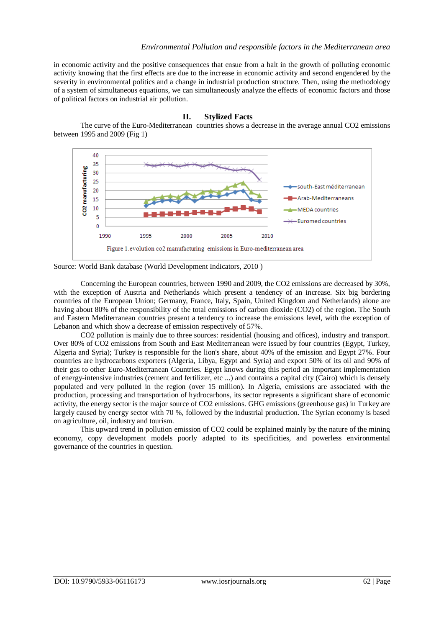in economic activity and the positive consequences that ensue from a halt in the growth of polluting economic activity knowing that the first effects are due to the increase in economic activity and second engendered by the severity in environmental politics and a change in industrial production structure. Then, using the methodology of a system of simultaneous equations, we can simultaneously analyze the effects of economic factors and those of political factors on industrial air pollution.

### **II. Stylized Facts**

The curve of the Euro-Mediterranean countries shows a decrease in the average annual CO2 emissions between 1995 and 2009 (Fig 1)



Source: World Bank database (World Development Indicators, 2010 )

Concerning the European countries, between 1990 and 2009, the CO2 emissions are decreased by 30%, with the exception of Austria and Netherlands which present a tendency of an increase. Six big bordering countries of the European Union; Germany, France, Italy, Spain, United Kingdom and Netherlands) alone are having about 80% of the responsibility of the total emissions of carbon dioxide (CO2) of the region. The South and Eastern Mediterranean countries present a tendency to increase the emissions level, with the exception of Lebanon and which show a decrease of emission respectively of 57%.

CO2 pollution is mainly due to three sources: residential (housing and offices), industry and transport. Over 80% of CO2 emissions from South and East Mediterranean were issued by four countries (Egypt, Turkey, Algeria and Syria); Turkey is responsible for the lion's share, about 40% of the emission and Egypt 27%. Four countries are hydrocarbons exporters (Algeria, Libya, Egypt and Syria) and export 50% of its oil and 90% of their gas to other Euro-Mediterranean Countries. Egypt knows during this period an important implementation of energy-intensive industries (cement and fertilizer, etc ...) and contains a capital city (Cairo) which is densely populated and very polluted in the region (over 15 million). In Algeria, emissions are associated with the production, processing and transportation of hydrocarbons, its sector represents a significant share of economic activity, the energy sector is the major source of CO2 emissions. GHG emissions (greenhouse gas) in Turkey are largely caused by energy sector with 70 %, followed by the industrial production. The Syrian economy is based on agriculture, oil, industry and tourism.

This upward trend in pollution emission of CO2 could be explained mainly by the nature of the mining economy, copy development models poorly adapted to its specificities, and powerless environmental governance of the countries in question.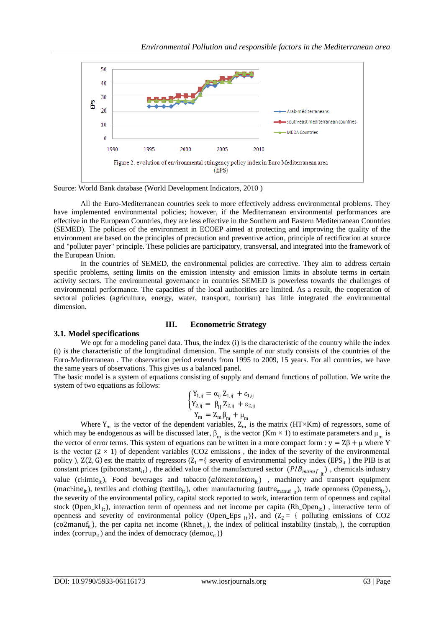

Source: World Bank database (World Development Indicators, 2010 )

All the Euro-Mediterranean countries seek to more effectively address environmental problems. They have implemented environmental policies; however, if the Mediterranean environmental performances are effective in the European Countries, they are less effective in the Southern and Eastern Mediterranean Countries (SEMED). The policies of the environment in ECOEP aimed at protecting and improving the quality of the environment are based on the principles of precaution and preventive action, principle of rectification at source and "polluter payer" principle. These policies are participatory, transversal, and integrated into the framework of the European Union.

In the countries of SEMED, the environmental policies are corrective. They aim to address certain specific problems, setting limits on the emission intensity and emission limits in absolute terms in certain activity sectors. The environmental governance in countries SEMED is powerless towards the challenges of environmental performance. The capacities of the local authorities are limited. As a result, the cooperation of sectoral policies (agriculture, energy, water, transport, tourism) has little integrated the environmental dimension.

# **III. Econometric Strategy**

# **3.1***.* **Model specifications**

We opt for a modeling panel data. Thus, the index (i) is the characteristic of the country while the index (t) is the characteristic of the longitudinal dimension. The sample of our study consists of the countries of the Euro-Mediterranean . The observation period extends from 1995 to 2009, 15 years. For all countries, we have the same years of observations. This gives us a balanced panel.

The basic model is a system of equations consisting of supply and demand functions of pollution. We write the system of two equations as follows:

$$
\left\{ \begin{aligned} Y_{1,ij} &= \alpha_{ij} \, Z_{1,ij} + \epsilon_{1,ij} \\ Y_{2,ij} &= \beta_{ij} \, Z_{2,ij} + \epsilon_{2,ij} \\ Y_m &= Z_m \beta_m + \mu_m \end{aligned} \right.
$$

Where  $Y_m$  is the vector of the dependent variables,  $Z_m$  is the matrix (HT×Km) of regressors, some of which may be endogenous as will be discussed later,  $\beta_m$  is the vector (Km  $\times$  1) to estimate parameters and  $\mu_m$  is the vector of error terms. This system of equations can be written in a more compact form :  $y = Z\beta + \mu$  where Y is the vector  $(2 \times 1)$  of dependent variables (CO2 emissions, the index of the severity of the environmental policy ),  $Z(2, G)$  est the matrix of regressors  $Z_1 = \{$  severity of environmental policy index (EPS<sub>it</sub>) the PIB is at constant prices (pibconstant<sub>it</sub>), the added value of the manufactured sector  $(PIB_{manuf}$ <sub>it</sub>), chemicals industry value (chimie<sub>it</sub>), Food beverages and tobacco (*alimentation*<sub>it</sub>), machinery and transport equipment (machine<sub>it</sub>), textiles and clothing (textile<sub>it</sub>), other manufacturing (autre<sub>manuf it</sub>), trade openness (Openess<sub>it</sub>), the severity of the environmental policy, capital stock reported to work, interaction term of openness and capital stock (Open\_kl it), interaction term of openness and net income per capita (Rh\_Open<sub>it</sub>), interactive term of openness and severity of environmental policy (Open\_Eps  $_{it}$ ), and (Z<sub>2</sub> = { polluting emissions of CO2 (co2manuf<sub>it</sub>), the per capita net income (Rhnet<sub>it</sub>), the index of political instability (instab<sub>it</sub>), the corruption index (corrup<sub>it</sub>) and the index of democracy (democ<sub>it</sub>)}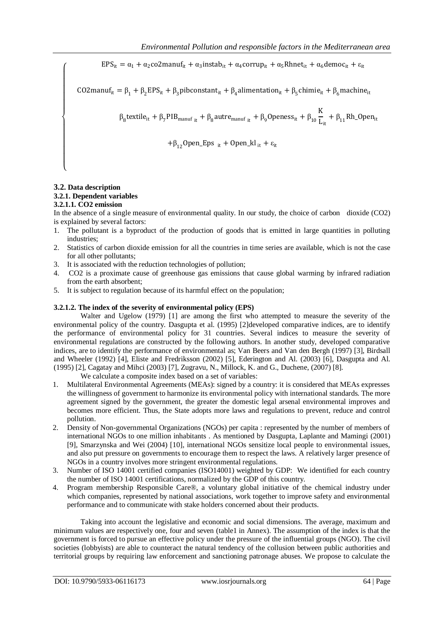$EPS_{it} = \alpha_1 + \alpha_2 \text{co2}$ manuf<sub>it</sub> +  $\alpha_3$ instab<sub>it</sub> +  $\alpha_4$ corrup<sub>it</sub> +  $\alpha_5$ Rhnet<sub>it</sub> +  $\alpha_6$ democ<sub>it</sub> +  $\varepsilon_{it}$ 

CO2manuf<sub>it</sub> =  $\beta_1 + \beta_2 EPS_{it} + \beta_3$ pibconstant<sub>it</sub> +  $\beta_4$ alimentation<sub>it</sub> +  $\beta_5$ chimie<sub>it</sub> +  $\beta_6$ machine<sub>it</sub>

 $β<sub>8</sub>$ textile<sub>it</sub> + β<sub>7</sub>PIB<sub>manuf it</sub> + β<sub>8</sub>autre<sub>manuf it</sub> + β<sub>9</sub>Openess<sub>it</sub> + β<sub>10</sub>  $\frac{K}{L}$  $\frac{1}{L_{it}} + \beta_{11}$ Rh\_Open<sub>it</sub>

+ $\beta_{12}$ Open\_Eps <sub>it</sub> + Open\_kl<sub>it</sub> +  $\varepsilon_{it}$ 

### **3.2. Data description 3.2.1. Dependent variables**

 $\overline{\mathcal{L}}$  $\mathbf{I}$  $\mathbf{I}$  $\mathbf{I}$  $\mathbf{I}$  $\mathbf{I}$  $\mathbf{I}$ 

 $\mathbf{I}$  $\mathbf{I}$  $\mathbf{I}$  $\mathbf{I}$  $\mathbf{I}$  $\overline{1}$ 

# **3.2.1.1. CO2 emission**

In the absence of a single measure of environmental quality. In our study, the choice of carbon dioxide (CO2) is explained by several factors:

- 1. The pollutant is a byproduct of the production of goods that is emitted in large quantities in polluting industries;
- 2. Statistics of carbon dioxide emission for all the countries in time series are available, which is not the case for all other pollutants;
- 3. It is associated with the reduction technologies of pollution;
- 4. CO2 is a proximate cause of greenhouse gas emissions that cause global warming by infrared radiation from the earth absorbent;
- 5. It is subject to regulation because of its harmful effect on the population;

# **3.2.1.2. The index of the severity of environmental policy (EPS)**

Walter and Ugelow (1979) [1] are among the first who attempted to measure the severity of the environmental policy of the country. Dasgupta et al. (1995) [2]developed comparative indices, are to identify the performance of environmental policy for 31 countries. Several indices to measure the severity of environmental regulations are constructed by the following authors. In another study, developed comparative indices, are to identify the performance of environmental as; Van Beers and Van den Bergh (1997) [3], Birdsall and Wheeler (1992) [4], Eliste and Fredriksson (2002) [5], Ederington and Al. (2003) [6], Dasgupta and Al. (1995) [2], Cagatay and Mihci (2003) [7], Zugravu, N., Millock, K. and G., Duchene, (2007) [8].

We calculate a composite index based on a set of variables:

- 1. Multilateral Environmental Agreements (MEAs): signed by a country: it is considered that MEAs expresses the willingness of government to harmonize its environmental policy with international standards. The more agreement signed by the government, the greater the domestic legal arsenal environmental improves and becomes more efficient. Thus, the State adopts more laws and regulations to prevent, reduce and control pollution.
- 2. Density of Non-governmental Organizations (NGOs) per capita : represented by the number of members of international NGOs to one million inhabitants . As mentioned by Dasgupta, Laplante and Mamingi (2001) [9], Smarzynska and Wei (2004) [10], international NGOs sensitize local people to environmental issues, and also put pressure on governments to encourage them to respect the laws. A relatively larger presence of NGOs in a country involves more stringent environmental regulations.
- 3. Number of ISO 14001 certified companies (ISO14001) weighted by GDP: We identified for each country the number of ISO 14001 certifications, normalized by the GDP of this country.
- 4. Program membership Responsible Care®, a voluntary global initiative of the chemical industry under which companies, represented by national associations, work together to improve safety and environmental performance and to communicate with stake holders concerned about their products.

Taking into account the legislative and economic and social dimensions. The average, maximum and minimum values are respectively one, four and seven (table1 in Annex). The assumption of the index is that the government is forced to pursue an effective policy under the pressure of the influential groups (NGO). The civil societies (lobbyists) are able to counteract the natural tendency of the collusion between public authorities and territorial groups by requiring law enforcement and sanctioning patronage abuses. We propose to calculate the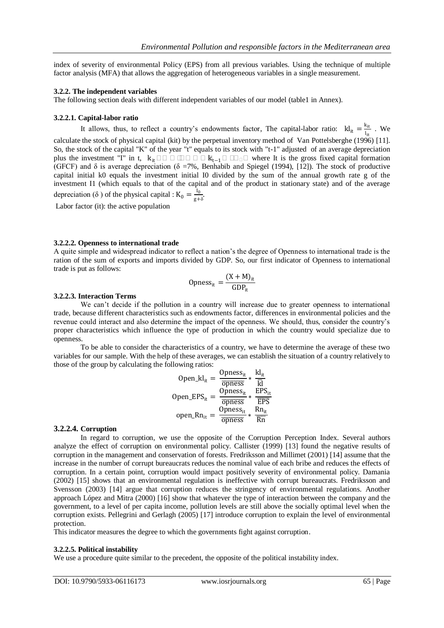index of severity of environmental Policy (EPS) from all previous variables. Using the technique of multiple factor analysis (MFA) that allows the aggregation of heterogeneous variables in a single measurement.

### **3.2.2. The independent variables**

The following section deals with different independent variables of our model (table1 in Annex).

### **3.2.2.1. Capital-labor ratio**

It allows, thus, to reflect a country's endowments factor, The capital-labor ratio:  $k l_{it} = \frac{k_{it}}{l_{it}}$  $\frac{\kappa_{\text{it}}}{I_{\text{it}}}$  . We

calculate the stock of physical capital (kit) by the perpetual inventory method of Van Pottelsberghe (1996) [11]. So, the stock of the capital "K" of the year "t" equals to its stock with "t-1" adjusted of an average depreciation plus the investment "I" in t,  $k_{it} \square \square \square \square \square \square \square k_{t-1} \square \square \square \square$  where It is the gross fixed capital formation (GFCF) and  $\delta$  is average depreciation ( $\delta$  =7%, Benhabib and Spiegel (1994), [12]). The stock of productive capital initial k0 equals the investment initial I0 divided by the sum of the annual growth rate g of the investment I1 (which equals to that of the capital and of the product in stationary state) and of the average depreciation ( $\delta$ ) of the physical capital : K<sub>0</sub> =  $\frac{I_0}{\sigma + 1}$  $\frac{10}{g+\delta}$ .

Labor factor (it): the active population

### **3.2.2.2. Openness to international trade**

A quite simple and widespread indicator to reflect a nation's the degree of Openness to international trade is the ration of the sum of exports and imports divided by GDP. So, our first indicator of Openness to international trade is put as follows:

$$
Opness_{it} = \frac{(X + M)_{it}}{GDP_{it}}
$$

### **3.2.2.3. Interaction Terms**

We can't decide if the pollution in a country will increase due to greater openness to international trade, because different characteristics such as endowments factor, differences in environmental policies and the revenue could interact and also determine the impact of the openness. We should, thus, consider the country's proper characteristics which influence the type of production in which the country would specialize due to openness.

To be able to consider the characteristics of a country, we have to determine the average of these two variables for our sample. With the help of these averages, we can establish the situation of a country relatively to those of the group by calculating the following ratios:

$$
Open\_kl_{it} = \frac{Opness_{it}}{\overline{opness}} * \frac{kl_{it}}{\overline{k}}
$$
  
Open\\_EPS<sub>it</sub> =  $\frac{Opness_{it}}{\overline{opness}} * \frac{EPS_{it}}{\overline{EPS}}$   
open\\_RR<sub>it</sub> =  $\frac{Opness_{it}}{\overline{opness}} * \frac{Rn_{it}}{\overline{k}}$ 

### **3.2.2.4. Corruption**

In regard to corruption, we use the opposite of the Corruption Perception Index. Several authors analyze the effect of corruption on environmental policy. Callister (1999) [13] found the negative results of corruption in the management and conservation of forests. Fredriksson and Millimet (2001) [14] assume that the increase in the number of corrupt bureaucrats reduces the nominal value of each bribe and reduces the effects of corruption. In a certain point, corruption would impact positively severity of environmental policy. Damania (2002) [15] shows that an environmental regulation is ineffective with corrupt bureaucrats. Fredriksson and Svensson (2003) [14] argue that corruption reduces the stringency of environmental regulations. Another approach López and Mitra (2000) [16] show that whatever the type of interaction between the company and the government, to a level of per capita income, pollution levels are still above the socially optimal level when the corruption exists. Pellegrini and Gerlagh (2005) [17] introduce corruption to explain the level of environmental protection.

This indicator measures the degree to which the governments fight against corruption.

#### **3.2.2.5. Political instability**

We use a procedure quite similar to the precedent, the opposite of the political instability index.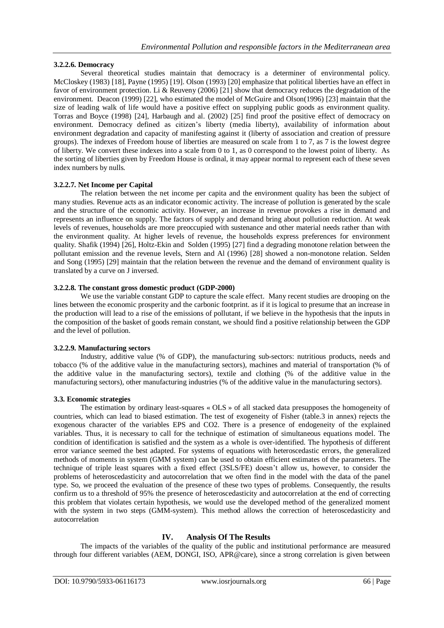# **3.2.2.6. Democracy**

Several theoretical studies maintain that democracy is a determiner of environmental policy. McCloskey (1983) [18], Payne (1995) [19]. Olson (1993) [20] emphasize that political liberties have an effect in favor of environment protection. Li & Reuveny (2006) [21] show that democracy reduces the degradation of the environment. Deacon (1999) [22], who estimated the model of McGuire and Olson(1996) [23] maintain that the size of leading walk of life would have a positive effect on supplying public goods as environment quality. Torras and Boyce (1998) [24], Harbaugh and al. (2002) [25] find proof the positive effect of democracy on environment. Democracy defined as citizen's liberty (media liberty), availability of information about environment degradation and capacity of manifesting against it (liberty of association and creation of pressure groups). The indexes of Freedom house of liberties are measured on scale from 1 to 7, as 7 is the lowest degree of liberty. We convert these indexes into a scale from 0 to 1, as 0 correspond to the lowest point of liberty. As the sorting of liberties given by Freedom House is ordinal, it may appear normal to represent each of these seven index numbers by nulls.

# **3.2.2.7. Net Income per Capital**

The relation between the net income per capita and the environment quality has been the subject of many studies. Revenue acts as an indicator economic activity. The increase of pollution is generated by the scale and the structure of the economic activity. However, an increase in revenue provokes a rise in demand and represents an influence on supply. The factors of supply and demand bring about pollution reduction. At weak levels of revenues, households are more preoccupied with sustenance and other material needs rather than with the environment quality. At higher levels of revenue, the households express preferences for environment quality. Shafik (1994) [26], Holtz-Ekin and Solden (1995) [27] find a degrading monotone relation between the pollutant emission and the revenue levels, Stern and Al (1996) [28] showed a non-monotone relation. Selden and Song (1995) [29] maintain that the relation between the revenue and the demand of environment quality is translated by a curve on J inversed.

# **3.2.2.8. The constant gross domestic product (GDP-2000)**

We use the variable constant GDP to capture the scale effect. Many recent studies are drooping on the lines between the economic prosperity and the carbonic footprint. as if it is logical to presume that an increase in the production will lead to a rise of the emissions of pollutant, if we believe in the hypothesis that the inputs in the composition of the basket of goods remain constant, we should find a positive relationship between the GDP and the level of pollution.

# **3.2.2.9. Manufacturing sectors**

Industry, additive value (% of GDP), the manufacturing sub-sectors: nutritious products, needs and tobacco (% of the additive value in the manufacturing sectors), machines and material of transportation (% of the additive value in the manufacturing sectors), textile and clothing (% of the additive value in the manufacturing sectors), other manufacturing industries (% of the additive value in the manufacturing sectors).

### **3.3. Economic strategies**

The estimation by ordinary least-squares « OLS » of all stacked data presupposes the homogeneity of countries, which can lead to biased estimation. The test of exogeneity of Fisher (table.3 in annex) rejects the exogenous character of the variables EPS and CO2. There is a presence of endogeneity of the explained variables. Thus, it is necessary to call for the technique of estimation of simultaneous equations model. The condition of identification is satisfied and the system as a whole is over-identified. The hypothesis of different error variance seemed the best adapted. For systems of equations with heteroscedastic errors, the generalized methods of moments in system (GMM system) can be used to obtain efficient estimates of the parameters. The technique of triple least squares with a fixed effect (3SLS/FE) doesn't allow us, however, to consider the problems of heteroscedasticity and autocorrelation that we often find in the model with the data of the panel type. So, we proceed the evaluation of the presence of these two types of problems. Consequently, the results confirm us to a threshold of 95% the presence of heteroscedasticity and autocorrelation at the end of correcting this problem that violates certain hypothesis, we would use the developed method of the generalized moment with the system in two steps (GMM-system). This method allows the correction of heteroscedasticity and autocorrelation

# **IV. Analysis Of The Results**

The impacts of the variables of the quality of the public and institutional performance are measured through four different variables (AEM, DONGI, ISO, APR@care), since a strong correlation is given between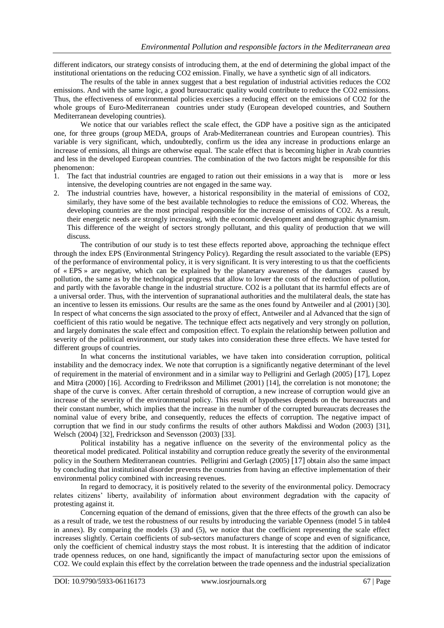different indicators, our strategy consists of introducing them, at the end of determining the global impact of the institutional orientations on the reducing CO2 emission. Finally, we have a synthetic sign of all indicators.

The results of the table in annex suggest that a best regulation of industrial activities reduces the CO2 emissions. And with the same logic, a good bureaucratic quality would contribute to reduce the CO2 emissions. Thus, the effectiveness of environmental policies exercises a reducing effect on the emissions of CO2 for the whole groups of Euro-Mediterranean countries under study (European developed countries, and Southern Mediterranean developing countries).

We notice that our variables reflect the scale effect, the GDP have a positive sign as the anticipated one, for three groups (group MEDA, groups of Arab-Mediterranean countries and European countries). This variable is very significant, which, undoubtedly, confirm us the idea any increase in productions enlarge an increase of emissions, all things are otherwise equal. The scale effect that is becoming higher in Arab countries and less in the developed European countries. The combination of the two factors might be responsible for this phenomenon:

- 1. The fact that industrial countries are engaged to ration out their emissions in a way that is more or less intensive, the developing countries are not engaged in the same way.
- 2. The industrial countries have, however, a historical responsibility in the material of emissions of CO2, similarly, they have some of the best available technologies to reduce the emissions of CO2. Whereas, the developing countries are the most principal responsible for the increase of emissions of CO2. As a result, their energetic needs are strongly increasing, with the economic development and demographic dynamism. This difference of the weight of sectors strongly pollutant, and this quality of production that we will discuss.

The contribution of our study is to test these effects reported above, approaching the technique effect through the index EPS (Environmental Stringency Policy). Regarding the result associated to the variable (EPS) of the performance of environmental policy, it is very significant. It is very interesting to us that the coefficients of « EPS » are negative, which can be explained by the planetary awareness of the damages caused by pollution, the same as by the technological progress that allow to lower the costs of the reduction of pollution, and partly with the favorable change in the industrial structure. CO2 is a pollutant that its harmful effects are of a universal order. Thus, with the intervention of supranational authorities and the multilateral deals, the state has an incentive to lessen its emissions. Our results are the same as the ones found by Antweiler and al (2001) [30]. In respect of what concerns the sign associated to the proxy of effect, Antweiler and al Advanced that the sign of coefficient of this ratio would be negative. The technique effect acts negatively and very strongly on pollution, and largely dominates the scale effect and composition effect. To explain the relationship between pollution and severity of the political environment, our study takes into consideration these three effects. We have tested for different groups of countries.

In what concerns the institutional variables, we have taken into consideration corruption, political instability and the democracy index. We note that corruption is a significantly negative determinant of the level of requirement in the material of environment and in a similar way to Pelligrini and Gerlagh (2005) [17], Lopez and Mitra (2000) [16]. According to Fredriksson and Millimet (2001) [14], the correlation is not monotone; the shape of the curve is convex. After certain threshold of corruption, a new increase of corruption would give an increase of the severity of the environmental policy. This result of hypotheses depends on the bureaucrats and their constant number, which implies that the increase in the number of the corrupted bureaucrats decreases the nominal value of every bribe, and consequently, reduces the effects of corruption. The negative impact of corruption that we find in our study confirms the results of other authors Makdissi and Wodon (2003) [31], Welsch (2004) [32], Fredrickson and Sevensson (2003) [33].

Political instability has a negative influence on the severity of the environmental policy as the theoretical model predicated. Political instability and corruption reduce greatly the severity of the environmental policy in the Southern Mediterranean countries. Pelligrini and Gerlagh (2005) [17] obtain also the same impact by concluding that institutional disorder prevents the countries from having an effective implementation of their environmental policy combined with increasing revenues.

In regard to democracy, it is positively related to the severity of the environmental policy. Democracy relates citizens' liberty, availability of information about environment degradation with the capacity of protesting against it.

Concerning equation of the demand of emissions, given that the three effects of the growth can also be as a result of trade, we test the robustness of our results by introducing the variable Openness (model 5 in table4 in annex). By comparing the models (3) and (5), we notice that the coefficient representing the scale effect increases slightly. Certain coefficients of sub-sectors manufacturers change of scope and even of significance, only the coefficient of chemical industry stays the most robust. It is interesting that the addition of indicator trade openness reduces, on one hand, significantly the impact of manufacturing sector upon the emissions of CO2. We could explain this effect by the correlation between the trade openness and the industrial specialization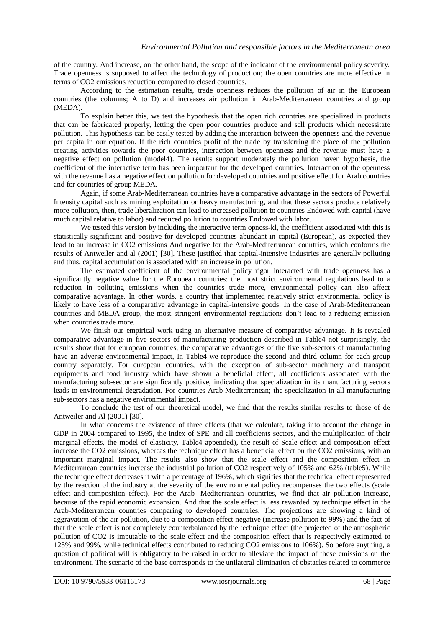of the country. And increase, on the other hand, the scope of the indicator of the environmental policy severity. Trade openness is supposed to affect the technology of production; the open countries are more effective in terms of CO2 emissions reduction compared to closed countries.

According to the estimation results, trade openness reduces the pollution of air in the European countries (the columns; A to D) and increases air pollution in Arab-Mediterranean countries and group (MEDA).

To explain better this, we test the hypothesis that the open rich countries are specialized in products that can be fabricated properly, letting the open poor countries produce and sell products which necessitate pollution. This hypothesis can be easily tested by adding the interaction between the openness and the revenue per capita in our equation. If the rich countries profit of the trade by transferring the place of the pollution creating activities towards the poor countries, interaction between openness and the revenue must have a negative effect on pollution (model4). The results support moderately the pollution haven hypothesis, the coefficient of the interactive term has been important for the developed countries. Interaction of the openness with the revenue has a negative effect on pollution for developed countries and positive effect for Arab countries and for countries of group MEDA.

Again, if some Arab-Mediterranean countries have a comparative advantage in the sectors of Powerful Intensity capital such as mining exploitation or heavy manufacturing, and that these sectors produce relatively more pollution, then, trade liberalization can lead to increased pollution to countries Endowed with capital (have much capital relative to labor) and reduced pollution to countries Endowed with labor.

We tested this version by including the interactive term opness-kl, the coefficient associated with this is statistically significant and positive for developed countries abundant in capital (European), as expected they lead to an increase in CO2 emissions And negative for the Arab-Mediterranean countries, which conforms the results of Antweiler and al (2001) [30]. These justified that capital-intensive industries are generally polluting and thus, capital accumulation is associated with an increase in pollution.

The estimated coefficient of the environmental policy rigor interacted with trade openness has a significantly negative value for the European countries: the most strict environmental regulations lead to a reduction in polluting emissions when the countries trade more, environmental policy can also affect comparative advantage. In other words, a country that implemented relatively strict environmental policy is likely to have less of a comparative advantage in capital-intensive goods. In the case of Arab-Mediterranean countries and MEDA group, the most stringent environmental regulations don't lead to a reducing emission when countries trade more.

We finish our empirical work using an alternative measure of comparative advantage. It is revealed comparative advantage in five sectors of manufacturing production described in Table4 not surprisingly, the results show that for european countries, the comparative advantages of the five sub-sectors of manufacturing have an adverse environmental impact, In Table4 we reproduce the second and third column for each group country separately. For european countries, with the exception of sub-sector machinery and transport equipments and food industry which have shown a beneficial effect, all coefficients associated with the manufacturing sub-sector are significantly positive, indicating that specialization in its manufacturing sectors leads to environmental degradation. For countries Arab-Mediterranean; the specialization in all manufacturing sub-sectors has a negative environmental impact.

To conclude the test of our theoretical model, we find that the results similar results to those of de Antweiler and Al (2001) [30].

In what concerns the existence of three effects (that we calculate, taking into account the change in GDP in 2004 compared to 1995, the index of SPE and all coefficients sectors, and the multiplication of their marginal effects, the model of elasticity, Table4 appended), the result of Scale effect and composition effect increase the CO2 emissions, whereas the technique effect has a beneficial effect on the CO2 emissions, with an important marginal impact. The results also show that the scale effect and the composition effect in Mediterranean countries increase the industrial pollution of CO2 respectively of 105% and 62% (table5). While the technique effect decreases it with a percentage of 196%, which signifies that the technical effect represented by the reaction of the industry at the severity of the environmental policy recompenses the two effects (scale effect and composition effect). For the Arab- Mediterranean countries, we find that air pollution increase, because of the rapid economic expansion. And that the scale effect is less rewarded by technique effect in the Arab-Mediterranean countries comparing to developed countries. The projections are showing a kind of aggravation of the air pollution, due to a composition effect negative (increase pollution to 99%) and the fact of that the scale effect is not completely counterbalanced by the technique effect (the projected of the atmospheric pollution of CO2 is imputable to the scale effect and the composition effect that is respectively estimated to 125% and 99%. while technical effects contributed to reducing CO2 emissions to 106%). So before anything, a question of political will is obligatory to be raised in order to alleviate the impact of these emissions on the environment. The scenario of the base corresponds to the unilateral elimination of obstacles related to commerce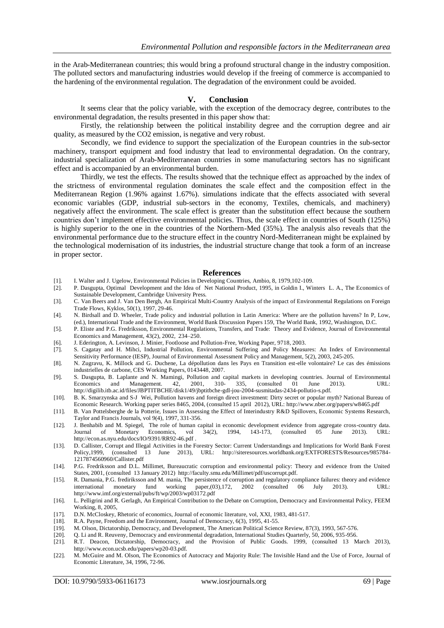in the Arab-Mediterranean countries; this would bring a profound structural change in the industry composition. The polluted sectors and manufacturing industries would develop if the freeing of commerce is accompanied to the hardening of the environmental regulation. The degradation of the environment could be avoided.

### **V. Conclusion**

It seems clear that the policy variable, with the exception of the democracy degree, contributes to the environmental degradation, the results presented in this paper show that:

Firstly, the relationship between the political instability degree and the corruption degree and air quality, as measured by the CO2 emission, is negative and very robust.

Secondly, we find evidence to support the specialization of the European countries in the sub-sector machinery, transport equipment and food industry that lead to environmental degradation. On the contrary, industrial specialization of Arab-Mediterranean countries in some manufacturing sectors has no significant effect and is accompanied by an environmental burden.

Thirdly, we test the effects. The results showed that the technique effect as approached by the index of the strictness of environmental regulation dominates the scale effect and the composition effect in the Mediterranean Region (1.96% against 1.67%). simulations indicate that the effects associated with several economic variables (GDP, industrial sub-sectors in the economy, Textiles, chemicals, and machinery) negatively affect the environment. The scale effect is greater than the substitution effect because the southern countries don't implement effective environmental policies. Thus, the scale effect in countries of South (125%) is highly superior to the one in the countries of the Northern-Med (35%). The analysis also reveals that the environmental performance due to the structure effect in the country Nord-Mediterranean might be explained by the technological modernisation of its industries, the industrial structure change that took a form of an increase in proper sector.

#### **References**

- [1]. I. Walter and J. Ugelow, Environmental Policies in Developing Countries, Ambio, 8, 1979,102-109.
- [2]. P. Dasgupta, Optimal Development and the Idea of Net National Product, 1995, in Goldin I., Winters L. A., The Economics of Sustainable Development, Cambridge University Press.
- [3]. C. Van Beers and J. Van Den Bergh, An Empirical Multi-Country Analysis of the impact of Environmental Regulations on Foreign Trade Flows, Kyklos, 50(1), 1997, 29-46.
- [4]. N. Birdsall and D. Wheeler, Trade policy and industrial pollution in Latin America: Where are the pollution havens? In P, Low, (ed.), International Trade and the Environment, World Bank Discussion Papers 159, The World Bank, 1992, Washington, D.C.
- [5]. P. Eliste and P.G. Fredriksson, Environmental Regulations, Transfers, and Trade: Theory and Evidence, Journal of Environmental Economics and Management, 43(2), 2002, 234–250.
- [6]. J. Ederington, A. Levinson, J. Minier, Footloose and Pollution-Free, Working Paper, 9718, 2003.
- [7]. S. Cagatay and H. Mihci, Industrial Pollution, Environmental Suffering and Policy Measures: An Index of Environmental Sensitivity Performance (IESP), Journal of Environmental Assessment Policy and Management, 5(2), 2003, 245-205.
- [8]. N. Zugravu, K. Millock and G. Duchene, La dépollution dans les Pays en Transition est-elle volontaire? Le cas des émissions industrielles de carbone, CES Working Papers, 0143448, 2007.
- [9]. S. Dasgupta, B. Laplante and N. Mamingi, Pollution and capital markets in developing countries. Journal of Environmental Economics and Management. 42, 2001, 310- 335, (consulted 01 June 2013). URL: http://digilib.itb.ac.id/files/JBPTITBCHE/disk1/49/jbptitbche-gdl-jou-2004-susmitadas-2434-pollutio-s.pdf.
- [10]. B. K. Smarzynska and S-J Wei, Pollution havens and foreign direct investment: Dirty secret or popular myth? National Bureau of Economic Research. Working paper series 8465, 2004, (consulted 15 april 2012), URL: http://www.nber.org/papers/w8465.pdf
- [11]. B. Van Pottelsberghe de la Potterie, Issues in Assessing the Effect of Interindustry R&D Spillovers, Economic Systems Research, Taylor and Francis Journals, vol 9(4), 1997, 331-356.
- [12]. J. Benhabib and M. Spiegel, The role of human capital in economic development evidence from aggregate cross-country data. Journal of Monetary Economics, vol 34(2), 1994, 143-173, (consulted 05 June 2013). URL: http://econ.as.nyu.edu/docs/IO/9391/RR92-46.pdf .
- [13]. D. Callister, Corrupt and Illegal Activities in the Forestry Sector: Current Understandings and Implications for World Bank Forest Policy,1999, (consulted 13 June 2013), URL: http://siteresources.worldbank.org/EXTFORESTS/Resources/985784- 1217874560960/Callister.pdf
- [14]. P.G. Fredriksson and D.L. Millimet, Bureaucratic corruption and environmental policy: Theory and evidence from the United States, 2001, (consulted 13 January 2012) http://faculty.smu.edu/Millimet/pdf/uscorrupt.pdf.
- [15]. R. Damania, P.G. frediriksson and M. mania, The persistence of corruption and regulatory compliance failures: theory and evidence international monetary fund working paper,(03),172, 2002 (consulted 06 July 2013). URL: http://www.imf.org/external/pubs/ft/wp/2003/wp03172.pdf
- [16]. L. Pelligrini and R. Gerlagh, An Empirical Contribution to the Debate on Corruption, Democracy and Environmental Policy, FEEM Working, 8, 2005,
- [17]. D.N. McCloskey, Rhetoric of economics, Journal of economic literature, vol, XXI, 1983, 481-517.
- 
- [18]. R.A. Payne, Freedom and the Environment, Journal of Democracy, 6(3), 1995, 41-55.<br>[19]. M. Olson, Dictatorship, Democracy, and Development, The American Political Scienc [19]. M. Olson, Dictatorship, Democracy, and Development, The American Political Science Review, 87(3), 1993, 567-576.
- 
- [20]. Q. Li and R. Reuveny, Democracy and environmental degradation, International Studies Quarterly, 50, 2006, 935-956. [21]. R.T. Deacon, Dictatorship, Democracy, and the Provision of Public Goods. 1999, (consulted 13 M R.T. Deacon, Dictatorship, Democracy, and the Provision of Public Goods. 1999, (consulted 13 March 2013), http://www.econ.ucsb.edu/papers/wp20-03.pdf.
- [22]. M. McGuire and M. Olson, The Economics of Autocracy and Majority Rule: The Invisible Hand and the Use of Force, Journal of Economic Literature, 34, 1996, 72-96.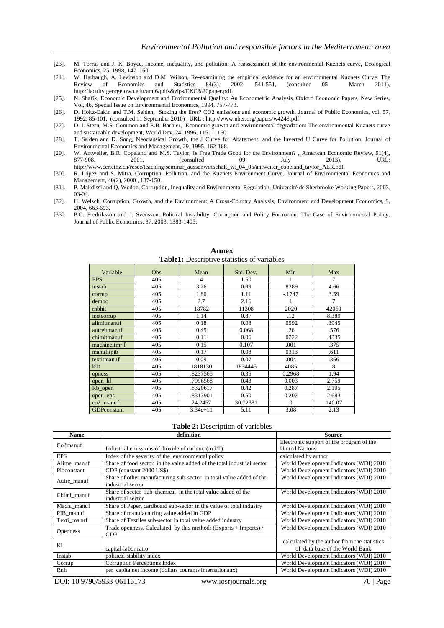- [23]. M. Torras and J. K. Boyce, Income, inequality, and pollution: A reassessment of the environmental Kuznets curve, Ecological Economics, 25, 1998, 147–160.
- [24]. W. Harbaugh, A. Levinson and D.M. Wilson, Re-examining the empirical evidence for an environmental Kuznets Curve. The Review of Economics and Statistics 84(3), 2002, 541-551, (consulted 05 March 2011), http://faculty.georgetown.edu/aml6/pdfs&zips/EKC%20paper.pdf.
- [25]. N. Shafik, Economic Development and Environmental Quality: An Econometric Analysis, Oxford Economic Papers, New Series, Vol, 46, Special Issue on Environmental Economics, 1994, 757-773.
- [26]. D. Holtz-Eakin and T.M. Selden, Stoking the fires? CO2 emissions and economic growth. Journal of Public Economics, vol, 57, 1992, 85-101, (consulted 11 September 2010) , URL : http://www.nber.org/papers/w4248.pdf
- [27]. D. I. Stern, M.S. Common and E.B. Barbier, Economic growth and environmental degradation: The environmental Kuznets curve and sustainable development, World Dev, 24, 1996, 1151–1160.
- [28]. T. Selden and D. Song, Neoclassical Growth, the J Curve for Abatement, and the Inverted U Curve for Pollution, Journal of Environmental Economics and Management, 29, 1995, 162-168.
- [29]. W. Antweiler, B.R. Copeland and M.S. Taylor, Is Free Trade Good for the Environment? , American Economic Review, 91(4), 877-908, 2001, (consulted 09 July 2013), URL: http://www.cer.ethz.ch/resec/teaching/seminar\_aussenwirtschaft\_wt\_04\_05/antweiler\_copeland\_taylor\_AER.pdf.
- [30]. R. López and S. Mitra, Corruption, Pollution, and the Kuznets Environment Curve, Journal of Environmental Economics and Management, 40(2), 2000 , 137-150.
- [31]. P. Makdissi and Q. Wodon, Corruption, Inequality and Environmental Regulation, Université de Sherbrooke Working Papers, 2003, 03-04.
- [32]. H. Welsch, Corruption, Growth, and the Environment: A Cross-Country Analysis, Environment and Development Economics, 9, 2004, 663-693.
- [33]. P.G. Fredriksson and J. Svensson, Political Instability, Corruption and Policy Formation: The Case of Environmental Policy, Journal of Public Economics, 87, 2003, 1383-1405.

| Variable     | Obs | Mean                     | Std. Dev. | Min      | Max    |
|--------------|-----|--------------------------|-----------|----------|--------|
| <b>EPS</b>   | 405 | $\overline{\mathcal{L}}$ | 1.50      |          | 7      |
| instab       | 405 | 3.26                     | 0.99      | .8289    | 4.66   |
| corrup       | 405 | 1.80                     | 1.11      | $-1747$  | 3.59   |
| democ        | 405 | 2.7                      | 2.16      |          | 7      |
| rnbhit       | 405 | 18782                    | 11308     | 2020     | 42060  |
| instromup    | 405 | 1.14                     | 0.87      | .12      | 8.389  |
| alimitmanuf  | 405 | 0.18                     | 0.08      | .0592    | .3945  |
| autreitmanuf | 405 | 0.45                     | 0.068     | .26      | .576   |
| chimitmanuf  | 405 | 0.11                     | 0.06      | .0222    | .4335  |
| machineitm~f | 405 | 0.15                     | 0.107     | .001     | .375   |
| manufitpib   | 405 | 0.17                     | 0.08      | .0313    | .611   |
| textitmanuf  | 405 | 0.09                     | 0.07      | .004     | .366   |
| klit         | 405 | 1818130                  | 1834445   | 4085     | 8      |
| opness       | 405 | .8237565                 | 0.35      | 0.2968   | 1.94   |
| open_kl      | 405 | .7996568                 | 0.43      | 0.003    | 2.759  |
| Rb_open      | 405 | .8320617                 | 0.42      | 0.287    | 2.195  |
| open_eps     | 405 | .8313901                 | 0.50      | 0.207    | 2.683  |
| $co2$ _manuf | 405 | 24.2457                  | 30.72381  | $\Omega$ | 140.07 |
| GDPconstant  | 405 | $3.34e + 11$             | 5.11      | 3.08     | 2.13   |

**Annex Table1:** Descriptive statistics of variables

#### **Table 2:** Description of variables

| <b>Name</b>     | definition                                                                | <b>Source</b>                                |
|-----------------|---------------------------------------------------------------------------|----------------------------------------------|
| $Co2$ manuf     |                                                                           | Electronic support of the program of the     |
|                 | Industrial emissions of dioxide of carbon, (in kT)                        | <b>United Nations</b>                        |
| EPS             | Index of the severity of the environmental policy                         | calculated by author                         |
| Alime_manuf     | Share of food sector in the value added of the total industrial sector    | World Development Indicators (WDI) 2010      |
| Pibconstant     | GDP (constant 2000 US\$)                                                  | World Development Indicators (WDI) 2010      |
| Autre_manuf     | Share of other manufacturing sub-sector in total value added of the       | World Development Indicators (WDI) 2010      |
|                 | industrial sector                                                         |                                              |
| Chimi_manuf     | Share of sector sub-chemical in the total value added of the              | World Development Indicators (WDI) 2010      |
|                 | industrial sector                                                         |                                              |
| Machi_manuf     | Share of Paper, cardboard sub-sector in the value of total industry       | World Development Indicators (WDI) 2010      |
| PIB manuf       | Share of manufacturing value added in GDP                                 | World Development Indicators (WDI) 2010      |
| Texti manuf     | Share of Textiles sub-sector in total value added industry                | World Development Indicators (WDI) 2010      |
| <b>Openness</b> | Trade openness. Calculated by this method: $(Express + \text{Imports}) /$ | World Development Indicators (WDI) 2010      |
|                 | <b>GDP</b>                                                                |                                              |
| K1              |                                                                           | calculated by the author from the statistics |
|                 | capital-labor ratio                                                       | of data base of the World Bank               |
| Instab          | political stability index                                                 | World Development Indicators (WDI) 2010      |
| Corrup          | Corruption Perceptions Index                                              | World Development Indicators (WDI) 2010      |
| Rnh             | per capita net income (dollars courants internationaux)                   | World Development Indicators (WDI) 2010      |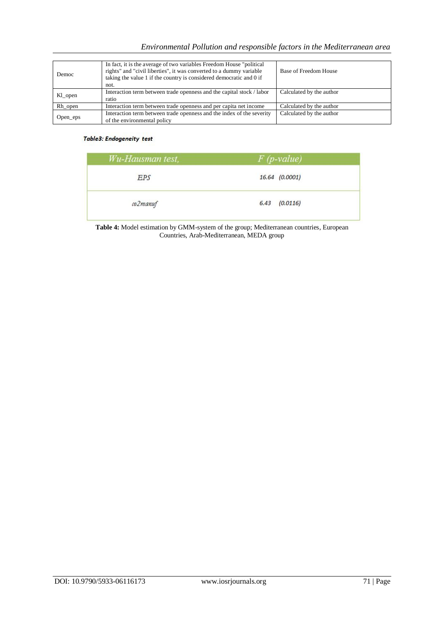| Democ    | In fact, it is the average of two variables Freedom House "political"<br>rights" and "civil liberties", it was converted to a dummy variable<br>taking the value 1 if the country is considered democratic and 0 if<br>not. | Base of Freedom House    |
|----------|-----------------------------------------------------------------------------------------------------------------------------------------------------------------------------------------------------------------------------|--------------------------|
| Kl_open  | Interaction term between trade openness and the capital stock / labor<br>ratio                                                                                                                                              | Calculated by the author |
| Rh_open  | Interaction term between trade openness and per capita net income                                                                                                                                                           | Calculated by the author |
| Open_eps | Interaction term between trade openness and the index of the severity<br>of the environmental policy                                                                                                                        | Calculated by the author |

# Table3: Endogeneity test

| Wu-Hausman test, | $F$ ( <i>p</i> -value) |
|------------------|------------------------|
| EPS              | 16.64 (0.0001)         |
| co2manuf         | $6.43$ $(0.0116)$      |

**Table 4:** Model estimation by GMM-system of the group; Mediterranean countries, European Countries, Arab-Mediterranean, MEDA group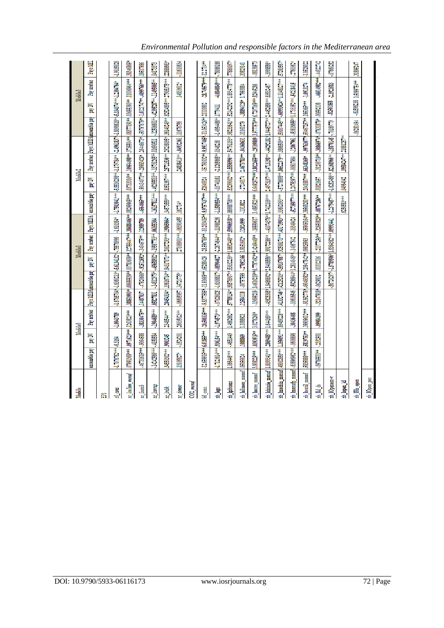| Modèle                                                                                                                                                 |                          |            | Modèle0                                                                                              |                       |                                                     |             | Modèlel                                                   |              |                                                                                                      | <b>Model</b> |                                                   |                        |           |                                              | Modelad                                                                                                                                                                                                                                                             |                 |
|--------------------------------------------------------------------------------------------------------------------------------------------------------|--------------------------|------------|------------------------------------------------------------------------------------------------------|-----------------------|-----------------------------------------------------|-------------|-----------------------------------------------------------|--------------|------------------------------------------------------------------------------------------------------|--------------|---------------------------------------------------|------------------------|-----------|----------------------------------------------|---------------------------------------------------------------------------------------------------------------------------------------------------------------------------------------------------------------------------------------------------------------------|-----------------|
|                                                                                                                                                        | ensemble pay             | ă<br>宦     | Pay arabes                                                                                           |                       | Pays MEDAmsemble pay                                | ă<br>冨      | Pay arabes                                                | Pays MEDA    | ensemble pay                                                                                         | pay DV       | Pay arabes 1                                      | Pays MEDA ansemble pay |           | 旨<br>Ē                                       | Pay arabes                                                                                                                                                                                                                                                          | <b>Pays MEI</b> |
| 爵                                                                                                                                                      |                          |            |                                                                                                      |                       |                                                     |             |                                                           |              |                                                                                                      |              |                                                   |                        |           |                                              |                                                                                                                                                                                                                                                                     |                 |
| $\omega$ cons                                                                                                                                          | $1.7076762***16.3164$    |            | -1.0043789                                                                                           |                       | $-1.67857044 - 1.63602134 - 5.61341324 - .75576996$ |             |                                                           | $-1.610384*$ |                                                                                                      |              |                                                   |                        |           |                                              |                                                                                                                                                                                                                                                                     | -1.9036028      |
| xo_loo2iim_manuf                                                                                                                                       | 17991368***              |            | $.0971623***1.1263823***$                                                                            |                       |                                                     |             |                                                           |              | .38853993+1.08655539+1.03783609+1.12755447++1.38688406++1.08299965+++                                |              |                                                   |                        |           |                                              | $.03733316** .10964498*** .3735504*** .08377191** .03655393** .11036964*** .11036964*** .11036964*** .11036964*** .11036964*** .11036964*** .11036964*** .11036964*** .11036964*** .11036964*** .11036964*** .11036964*** .11036964*** .11036964*** .11036964*** .$ | .38346865*      |
| xe_linstab                                                                                                                                             | $.46731615***1-.9064588$ |            | $-3830475**$ 14487037                                                                                |                       |                                                     |             | -479206661-925126921-3404575** 12989789                   |              |                                                                                                      |              |                                                   |                        |           |                                              |                                                                                                                                                                                                                                                                     |                 |
| ye_loontip                                                                                                                                             | $14242566***-4158584$    |            | 1904689 ***                                                                                          | .0682831              |                                                     |             | -14812979*1-456688932+195667793**106358304                |              |                                                                                                      |              |                                                   |                        |           |                                              |                                                                                                                                                                                                                                                                     | 04173373        |
| xe_bubk                                                                                                                                                | 34550302 ***   9003245   |            | 1348544 ***                                                                                          |                       |                                                     |             |                                                           |              |                                                                                                      |              |                                                   |                        |           |                                              |                                                                                                                                                                                                                                                                     |                 |
| xe_democ                                                                                                                                               | 13105827*                | $-1524201$ | $26035023**$                                                                                         | $-06695957$           | $14721775*$                                         |             | 27108901 *** 4-, 06391455                                 |              | $162714^{k}$                                                                                         |              | 14838413** - 04932361                             |                        | 11678756  |                                              | $.1483612*$                                                                                                                                                                                                                                                         | $-1160084$      |
| $CO2$ manuf                                                                                                                                            |                          |            |                                                                                                      |                       |                                                     |             |                                                           |              |                                                                                                      |              |                                                   |                        |           |                                              |                                                                                                                                                                                                                                                                     |                 |
| $b0$ coms                                                                                                                                              |                          |            | 11.659915*** 6.01855*** 120.60035*** 1.9.83775854-11.95669** 1.6528429                               |                       |                                                     |             |                                                           |              | $-28.596769*1110.203415*19.97574*37**1.52640024$                                                     |              | 1-15.791032*1-9.99174051-11.053426*1.21110802     |                        |           |                                              | $-18.749579***-12.2714***$                                                                                                                                                                                                                                          |                 |
| ah lepa                                                                                                                                                |                          |            | 11919411-12014-1201404-171200312-120300312-1203004021-1203004021-120805041-12080524-1208040404041209 |                       |                                                     |             |                                                           |              |                                                                                                      |              |                                                   |                        |           |                                              |                                                                                                                                                                                                                                                                     |                 |
| xb_lpibcons                                                                                                                                            | 1.066446***              | $-463149$  |                                                                                                      |                       |                                                     |             |                                                           |              |                                                                                                      |              |                                                   |                        |           |                                              |                                                                                                                                                                                                                                                                     |                 |
| xb_lalimen_manuf  .05056624                                                                                                                            |                          | 1088869    | 1.1088911                                                                                            |                       |                                                     |             | 11284118 -00757599 -27092166 1.8151662* 12024999 -1313822 |              |                                                                                                      |              | 11161171 1203610, 24673783+4, 04360631            |                        |           | -.38894129+ 1.7993884                        |                                                                                                                                                                                                                                                                     | 3823141         |
| xb_lautre_manuf 3.808225***                                                                                                                            |                          |            | $.0393915**3.0276266*$                                                                               |                       |                                                     |             |                                                           |              | 1.1398219  14616179+4677781494444+48+41348821   1388821   1649821-1-390000   15704147201000   138983 |              |                                                   |                        |           |                                              |                                                                                                                                                                                                                                                                     | $-0813873$      |
| xb_lchimie_manuf  1.8099341***  .2869485***  1.644169***                                                                                               |                          |            |                                                                                                      |                       |                                                     |             |                                                           |              | 140238211991082111499083641999112864+1-0000111110091111+100001111170711117002110                     |              |                                                   |                        |           |                                              |                                                                                                                                                                                                                                                                     | -399856*        |
| 1796630 machin 18000888++ 1.36000++ 1.080188++ 1.0811844-4.083008+1.0818001++ 1.08130800++ 1.08130800+1.086000+1.0000145++ 1099864+1.114817++ 1.578667 |                          |            |                                                                                                      |                       |                                                     |             |                                                           |              |                                                                                                      |              |                                                   |                        |           |                                              |                                                                                                                                                                                                                                                                     |                 |
| xb_lmanufp_manuf -.63896962*** -.0608898                                                                                                               |                          |            | -.30436408                                                                                           |                       | 1967846 - 59286944 128104081467842                  |             |                                                           |              | +10817988714:1736077*** 11.2475397*** 180017984                                                      |              |                                                   |                        |           | -12067961 -.53818655+11.1733352*+1-.54218415 |                                                                                                                                                                                                                                                                     | -2760362*       |
| xb_ltextil_manuf                                                                                                                                       | $333688***$              |            | E819753** 189000612*** 1.91362776*14904032**1.0047841.09026993                                       |                       |                                                     |             |                                                           |              | -.95905164*1.99568281***  .2041887***  .66348369*  -.997630771.50467257**  .195365***                |              |                                                   |                        |           |                                              | $-1.0913274$                                                                                                                                                                                                                                                        | $-1.0528022$    |
| xb_lkl_dv                                                                                                                                              | $.09765331**$            | $-332501$  | 6681860'                                                                                             | $-32147918 + 0629832$ |                                                     | $0312316$ . |                                                           |              | $-21377256**$ $-32650828**$ $-08767286**$ $-01821657$                                                |              | $-.31200719**1-.308669744-.07631879*1.00692138$   |                        |           |                                              | 140014982*** - 14022742                                                                                                                                                                                                                                             |                 |
| xb_10peneza-v                                                                                                                                          |                          |            |                                                                                                      |                       |                                                     |             | 56720297*1.5789506*11.5384382***1.09993441                |              | 1.1.2379457*** 1.6252486**1.82168966*** 1.15870145 1.70189779                                        |              |                                                   |                        |           | 88103858                                     | 1.3913583                                                                                                                                                                                                                                                           | $-07660252$     |
| kl_nopen_kl                                                                                                                                            |                          |            |                                                                                                      |                       |                                                     |             |                                                           |              | $.6250583***$                                                                                        | 104964042    | $39584247$ <sup>++</sup> $11881257$ <sup>++</sup> |                        |           |                                              |                                                                                                                                                                                                                                                                     |                 |
| xb_Rh_open                                                                                                                                             |                          |            |                                                                                                      |                       |                                                     |             |                                                           |              |                                                                                                      |              |                                                   |                        | -06281494 |                                              | $-0.598238$ 3.5099754**                                                                                                                                                                                                                                             | 31895247        |
| xb_10pen_pea                                                                                                                                           |                          |            |                                                                                                      |                       |                                                     |             |                                                           |              |                                                                                                      |              |                                                   |                        |           |                                              |                                                                                                                                                                                                                                                                     |                 |
|                                                                                                                                                        |                          |            |                                                                                                      |                       |                                                     |             |                                                           |              |                                                                                                      |              |                                                   |                        |           |                                              |                                                                                                                                                                                                                                                                     |                 |

*Environmental Pollution and responsible factors in the Mediterranean area*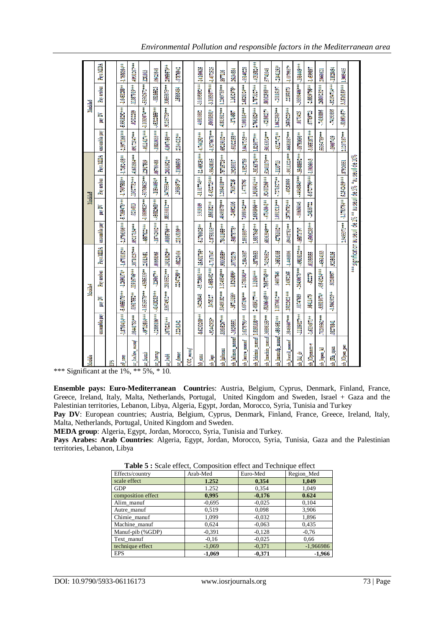| <b>Social</b>                  |                |                                | Modéle4                                              |                                                                     |                         |                                                  | <b>Modèle5</b>                        |                            |                        |                                | Modéle6                                                   |                |
|--------------------------------|----------------|--------------------------------|------------------------------------------------------|---------------------------------------------------------------------|-------------------------|--------------------------------------------------|---------------------------------------|----------------------------|------------------------|--------------------------------|-----------------------------------------------------------|----------------|
|                                | ensemble pay   | pay DV                         | Pay arabes                                           | Pays MEDA                                                           | ensemble pay            | pay DV                                           | Pay arabes                            |                            | Pays MEDA ensemble pay | pay DV                         | Pay arabes                                                | Pays MEDA      |
| Ě                              |                |                                |                                                      |                                                                     |                         |                                                  |                                       |                            |                        |                                |                                                           |                |
| $\omega$ cons                  |                | $1.8799414***$ $-5.4055376***$ | $-1.26903/44$                                        | $-1.6701152$                                                        |                         | $-2.3796396***$ $-5.7369476***$                  | $-1.7907588**$                        | $1.7352438**$              |                        |                                | +1,76553971166+++ +5.929181924++ +1.6453188++ +1.7655944+ |                |
| xe_loo2iim_manuf               | 08441753***    | $.03617552**$                  | 11916746***                                          | 38710237***                                                         | 09217134***             | 0214013                                          | 13027732***                           | 41651864***                | 09172547***            | 0202289                        | 11387919***                                               | 40931267***    |
| xe_linstab                     |                | 49713504*** 1.0515578***       | $-4388339**$                                         | 23013451                                                            | $-4587622***$           | $-1.0809825***-50768625***$                      |                                       | 12917509                   |                        | $-46114174***$ $-1.1083074***$ | $-51562672*** 1281003$                                    |                |
| u lomp                         | $.12886186***$ | $-41418283***$                 | $-126067**$                                          | .00668365                                                           |                         | $-18742902***$ $-45682968***$                    | $-10644094*$                          | 05760488                   | $-18833033+$           | $-45322855***$                 | $-08185523$                                               | 06423848       |
| se bubl                        | 3670231 ***    | 83674912***                    | 28105521 ***                                         | 19313629**                                                          | 40865766 <sup>+++</sup> | 88330012***                                      | 34/95594***                           | 20333921 **                | 41067456***            | 91215728***                    | 33855875***                                               | $.10959579**$  |
| xe democ                       | 12241342       |                                | 22347298**                                           | -08229404                                                           | $21143109**$            |                                                  | 19084973*                             | $-11086509$                | 21344212**             |                                | 15866484                                                  | -07876942      |
| CO2_manuf                      |                |                                |                                                      |                                                                     |                         |                                                  |                                       |                            |                        |                                |                                                           |                |
| $b0$ coms                      | 8.6230268***   | 34226848                       | $-15.72860$ <sup>+++</sup> $-15.631795$ <sup>+</sup> |                                                                     | -5.1766625**            | 3.919109                                         |                                       | ++1011011.14920460204.01-  |                        | 4.0810882                      | $-10.895892***14.160635$                                  |                |
| ich leps                       | 92442925       | <b>UNITAL</b>                  | $-1.4658482***$ $-1.7167047$                         |                                                                     | $2.8758315***$          | $8561821**$                                      | $-5.4322723***$                       | -,98438165                 | 1.9276678***           | $50009391*$                    | -3.1053077***  -1.4072525                                 |                |
| xb lpibcons                    | 83605267***    |                                | $51489182***$ 1.3248548 <sup>***</sup>               | -69800986                                                           | 78411955***             |                                                  | ***87512571 *** 8104892.1 +** 8758 44 |                            | 169219032***           |                                | 41813812*** 1.2369755***                                  | 8677136        |
| to lalimen manuf -.10298551    |                | $-35713186*$                   | 1.5263599#                                           | 30702179                                                            | $-30878778+$            | ,24092106                                        | 79167235                              | 19280017                   | $-00322158**$          | 1714587                        | $1.1632975*$                                              | .26334884      |
| xb_lautre_manuf                | 3.6176793***   | 6.697196***                    | 2.3789303**                                          | -23843687                                                           | 2.8918937***            | 7.0980423***                                     | 1.4778795                             | $-13523789$                | 3.0417325***           | 7.1080154*** 2.6828324***      |                                                           | -.09140228     |
| xb lchimie manuf               | 1.8180338***   | 1.4689177***                   | 1.31604***                                           | -38795653                                                           | 1.9807645***            | $2.6698966***$                                   | 1.9109041 ***                         | 38163794*** 1.829077***    |                        | 1.7663829*** 1.7873327***      |                                                           | 40315824***    |
| xb_lmachin_manuf .36898155***  |                |                                | -58306465*** 76567745*** 743290652*                  |                                                                     | 68363949 ***            | $-47143041**$                                    | 92410266***                           | 52401179***                | 50163024***            | $-4218021$ <sup>*</sup>        | 80102568***                                               | 57741048       |
| xb_lmanufp_manuf -.4564951 *** |                | 1.1876012***                   | 04607846                                             | $-16516385$                                                         | $42761002**$            | 1.0913213***                                     | $7215272**$                           | $-1139713$                 | $.43127471**$          | 1.0622565***                   | ,20115197                                                 | $-21441193*$   |
| xb_ltextil_manuf               | 38466607***    | <b>HAND DOOD</b>               | 14352165                                             | -1.4466896                                                          | 59402751 ***            | 25736792***                                      | -49253999                             | +++h13224+++               | .46681857***           | 26506229***                    | 22159373                                                  | $-1.0079937*$  |
| xb lkl dr                      | $11189327***$  | 01747689                       | $-26430678***$                                       | 19838122***                                                         | $-0.873797$             | $-00656046$                                      |                                       | $-44045845***$ 35488592*** | $-08793696**$          | 0170425                        | $-30599406***$                                            | *** 994449 *** |
| th 10peness-v                  | -1.6134971**   | 95411479                       | $-52279$                                             | 01385855                                                            | 4.5006293***            | $-24838722$                                      | $-5.6727799***$ $-1.003643$           |                            | -3.9551871 ***         | 67789723                       | $-2.5539795**$  -1.4599897                                |                |
| xb_lopen_kl                    | 10209562***    | $-93819074*$                   | 4343234***                                           | -45614183                                                           |                         |                                                  |                                       |                            | 5334789***             | -.74193895                     | 26800232*** 20660621                                      |                |
| INh_open                       | 08276841       | $-1.5663925**$                 | 80208957                                             | 92356135                                                            |                         |                                                  |                                       |                            | 09007439               | ,74193895                      | $-82154714***$ $-11628494$                                |                |
| xb_10pen_pea                   |                |                                |                                                      |                                                                     |                         | 187910881 *** 1.1783764** 5.25414439*** 87910851 |                                       |                            |                        |                                | 2.1207187***   -.81091457*   3.1516159*** 1.3009405       |                |
|                                |                |                                |                                                      | *** signification au seuil de 1% ** au seuil de 5% *au seuil de 10% |                         |                                                  |                                       |                            |                        |                                |                                                           |                |

*Environmental Pollution and responsible factors in the Mediterranean area*

\*\*\* Significant at the  $1\%$ , \*\* 5%, \* 10.

**Ensemble pays: Euro-Mediterranean Countri**es: Austria, Belgium, Cyprus, Denmark, Finland, France, Greece, Ireland, Italy, Malta, Netherlands, Portugal, United Kingdom and Sweden, Israel + Gaza and the Palestinian territories, Lebanon, Libya, Algeria, Egypt, Jordan, Morocco, Syria, Tunisia and Turkey

Pay DV: European countries; Austria, Belgium, Cyprus, Denmark, Finland, France, Greece, Ireland, Italy, Malta, Netherlands, Portugal, United Kingdom and Sweden.

**MEDA group**: Algeria, Egypt, Jordan, Morocco, Syria, Tunisia and Turkey.

**Pays Arabes: Arab Countries**: Algeria, Egypt, Jordan, Morocco, Syria, Tunisia, Gaza and the Palestinian territories, Lebanon, Libya

| <b>Rable 5:</b> Scale effect, Composition effect and Fechnique effect |          |          |             |
|-----------------------------------------------------------------------|----------|----------|-------------|
| Effects/country                                                       | Arab-Med | Euro-Med | Region Med  |
| scale effect                                                          | 1.252    | 0,354    | 1,049       |
| <b>GDP</b>                                                            | 1.252    | 0,354    | 1,049       |
| composition effect                                                    | 0,995    | $-0,176$ | 0.624       |
| Alim manuf                                                            | $-0.695$ | $-0.025$ | 0,104       |
| Autre_manuf                                                           | 0.519    | 0,098    | 3,906       |
| Chimie_manuf                                                          | 1,099    | $-0.032$ | 1,896       |
| Machine manuf                                                         | 0,624    | $-0.063$ | 0,435       |
| Manuf-pib (%GDP)                                                      | $-0,391$ | $-0,128$ | $-0,76$     |
| Text manuf                                                            | $-0.16$  | $-0.025$ | 0.66        |
| technique effect                                                      | $-1,069$ | $-0.371$ | $-1,966986$ |
| <b>EPS</b>                                                            | $-1,069$ | $-0,371$ | $-1,966$    |

**Table 5 :** Scale effect, Composition effect and Technique effect